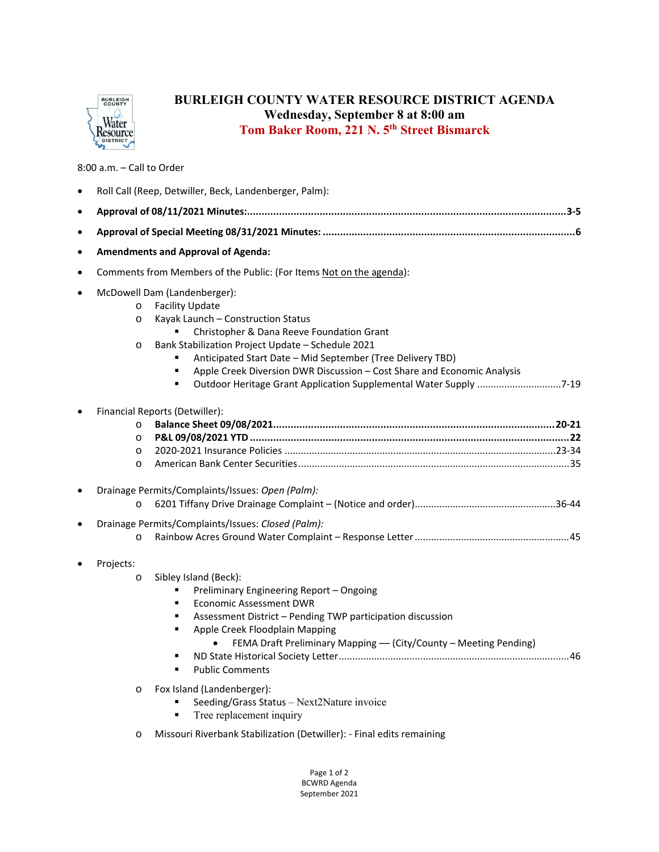

## **BURLEIGH COUNTY WATER RESOURCE DISTRICT AGENDA Wednesday, September 8 at 8:00 am Tom Baker Room, 221 N. 5th Street Bismarck**

## 8:00 a.m. – Call to Order

|           | Roll Call (Reep, Detwiller, Beck, Landenberger, Palm):                                                                                                                                                                                                                                                                                                                                                                                             |  |  |  |  |
|-----------|----------------------------------------------------------------------------------------------------------------------------------------------------------------------------------------------------------------------------------------------------------------------------------------------------------------------------------------------------------------------------------------------------------------------------------------------------|--|--|--|--|
| $\bullet$ |                                                                                                                                                                                                                                                                                                                                                                                                                                                    |  |  |  |  |
| $\bullet$ |                                                                                                                                                                                                                                                                                                                                                                                                                                                    |  |  |  |  |
| ٠         | <b>Amendments and Approval of Agenda:</b>                                                                                                                                                                                                                                                                                                                                                                                                          |  |  |  |  |
| $\bullet$ | Comments from Members of the Public: (For Items Not on the agenda):                                                                                                                                                                                                                                                                                                                                                                                |  |  |  |  |
| $\bullet$ | McDowell Dam (Landenberger):<br><b>Facility Update</b><br>$\circ$<br>Kayak Launch - Construction Status<br>$\circ$<br>Christopher & Dana Reeve Foundation Grant<br>Bank Stabilization Project Update - Schedule 2021<br>$\circ$<br>Anticipated Start Date - Mid September (Tree Delivery TBD)<br>Apple Creek Diversion DWR Discussion - Cost Share and Economic Analysis<br>Outdoor Heritage Grant Application Supplemental Water Supply 7-19<br>٠ |  |  |  |  |
|           | Financial Reports (Detwiller):<br>$\circ$<br>$\circ$<br>$\circ$<br>$\circ$                                                                                                                                                                                                                                                                                                                                                                         |  |  |  |  |
| $\bullet$ | Drainage Permits/Complaints/Issues: Open (Palm):<br>$\circ$                                                                                                                                                                                                                                                                                                                                                                                        |  |  |  |  |
| $\bullet$ | Drainage Permits/Complaints/Issues: Closed (Palm):<br>$\circ$                                                                                                                                                                                                                                                                                                                                                                                      |  |  |  |  |
|           | Projects:<br>Sibley Island (Beck):<br>$\circ$<br>Preliminary Engineering Report - Ongoing<br><b>Economic Assessment DWR</b><br>٠<br>Assessment District - Pending TWP participation discussion<br>٠<br>Apple Creek Floodplain Mapping<br>$\blacksquare$<br>FEMA Draft Preliminary Mapping - (City/County - Meeting Pending)<br>٠<br><b>Public Comments</b>                                                                                         |  |  |  |  |
|           | Fox Island (Landenberger):<br>$\circ$<br>Seeding/Grass Status - Next2Nature invoice<br>Tree replacement inquiry<br>٠                                                                                                                                                                                                                                                                                                                               |  |  |  |  |

o Missouri Riverbank Stabilization (Detwiller): ‐ Final edits remaining

Page 1 of 2 BCWRD Agenda September 2021